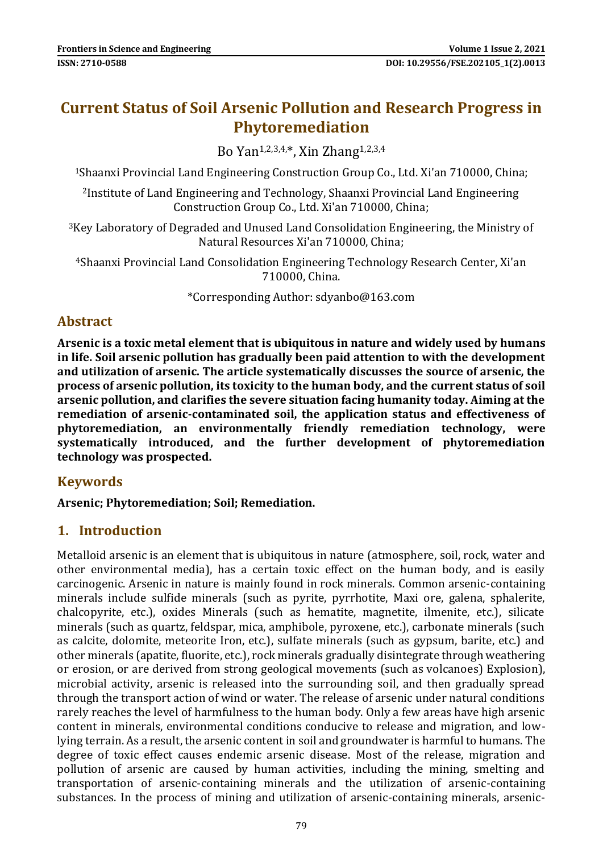# **Current Status of Soil Arsenic Pollution and Research Progress in Phytoremediation**

Bo Yan1,2,3,4,\*, Xin Zhang1,2,3,4

<sup>1</sup>Shaanxi Provincial Land Engineering Construction Group Co., Ltd. Xi'an 710000, China;

<sup>2</sup>Institute of Land Engineering and Technology, Shaanxi Provincial Land Engineering Construction Group Co., Ltd. Xi'an 710000, China;

<sup>3</sup>Key Laboratory of Degraded and Unused Land Consolidation Engineering, the Ministry of Natural Resources Xi'an 710000, China;

<sup>4</sup>Shaanxi Provincial Land Consolidation Engineering Technology Research Center, Xi'an 710000, China.

\*Corresponding Author: sdyanbo@163.com

## **Abstract**

**Arsenic is a toxic metal element that is ubiquitous in nature and widely used by humans in life. Soil arsenic pollution has gradually been paid attention to with the development and utilization of arsenic. The article systematically discusses the source of arsenic, the process of arsenic pollution, its toxicity to the human body, and the current status of soil arsenic pollution, and clarifies the severe situation facing humanity today. Aiming at the remediation of arsenic-contaminated soil, the application status and effectiveness of phytoremediation, an environmentally friendly remediation technology, were systematically introduced, and the further development of phytoremediation technology was prospected.**

#### **Keywords**

#### **Arsenic; Phytoremediation; Soil; Remediation.**

#### **1. Introduction**

Metalloid arsenic is an element that is ubiquitous in nature (atmosphere, soil, rock, water and other environmental media), has a certain toxic effect on the human body, and is easily carcinogenic. Arsenic in nature is mainly found in rock minerals. Common arsenic-containing minerals include sulfide minerals (such as pyrite, pyrrhotite, Maxi ore, galena, sphalerite, chalcopyrite, etc.), oxides Minerals (such as hematite, magnetite, ilmenite, etc.), silicate minerals (such as quartz, feldspar, mica, amphibole, pyroxene, etc.), carbonate minerals (such as calcite, dolomite, meteorite Iron, etc.), sulfate minerals (such as gypsum, barite, etc.) and other minerals (apatite, fluorite, etc.), rock minerals gradually disintegrate through weathering or erosion, or are derived from strong geological movements (such as volcanoes) Explosion), microbial activity, arsenic is released into the surrounding soil, and then gradually spread through the transport action of wind or water. The release of arsenic under natural conditions rarely reaches the level of harmfulness to the human body. Only a few areas have high arsenic content in minerals, environmental conditions conducive to release and migration, and lowlying terrain. As a result, the arsenic content in soil and groundwater is harmful to humans. The degree of toxic effect causes endemic arsenic disease. Most of the release, migration and pollution of arsenic are caused by human activities, including the mining, smelting and transportation of arsenic-containing minerals and the utilization of arsenic-containing substances. In the process of mining and utilization of arsenic-containing minerals, arsenic-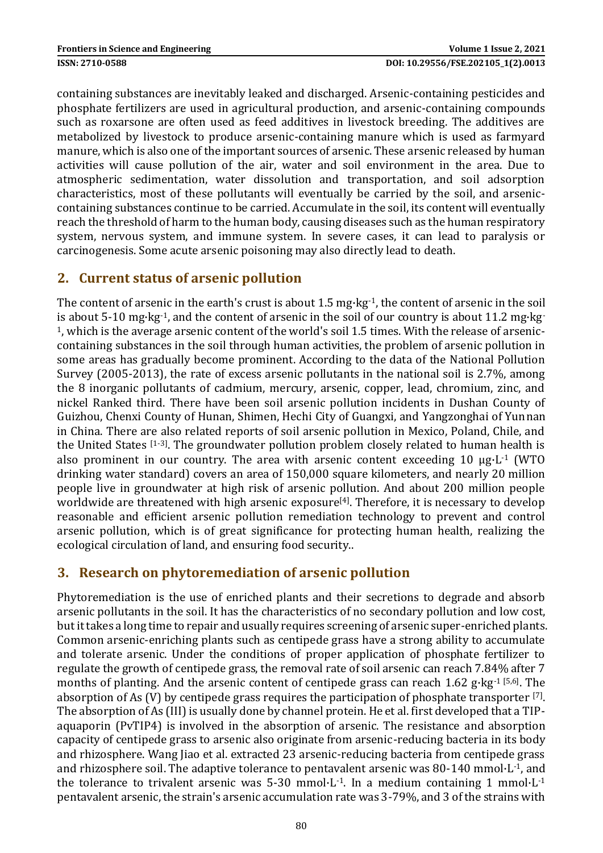containing substances are inevitably leaked and discharged. Arsenic-containing pesticides and phosphate fertilizers are used in agricultural production, and arsenic-containing compounds such as roxarsone are often used as feed additives in livestock breeding. The additives are metabolized by livestock to produce arsenic-containing manure which is used as farmyard manure, which is also one of the important sources of arsenic. These arsenic released by human activities will cause pollution of the air, water and soil environment in the area. Due to atmospheric sedimentation, water dissolution and transportation, and soil adsorption characteristics, most of these pollutants will eventually be carried by the soil, and arseniccontaining substances continue to be carried. Accumulate in the soil, its content will eventually reach the threshold of harm to the human body, causing diseases such as the human respiratory system, nervous system, and immune system. In severe cases, it can lead to paralysis or carcinogenesis. Some acute arsenic poisoning may also directly lead to death.

## **2. Current status of arsenic pollution**

The content of arsenic in the earth's crust is about 1.5 mg·kg<sup>-1</sup>, the content of arsenic in the soil is about 5-10 mg·kg-1, and the content of arsenic in the soil of our country is about 11.2 mg·kg-1, which is the average arsenic content of the world's soil 1.5 times. With the release of arseniccontaining substances in the soil through human activities, the problem of arsenic pollution in some areas has gradually become prominent. According to the data of the National Pollution Survey (2005-2013), the rate of excess arsenic pollutants in the national soil is 2.7%, among the 8 inorganic pollutants of cadmium, mercury, arsenic, copper, lead, chromium, zinc, and nickel Ranked third. There have been soil arsenic pollution incidents in Dushan County of Guizhou, Chenxi County of Hunan, Shimen, Hechi City of Guangxi, and Yangzonghai of Yunnan in China. There are also related reports of soil arsenic pollution in Mexico, Poland, Chile, and the United States [1-3]. The groundwater pollution problem closely related to human health is also prominent in our country. The area with arsenic content exceeding 10 μg·L-1 (WTO drinking water standard) covers an area of 150,000 square kilometers, and nearly 20 million people live in groundwater at high risk of arsenic pollution. And about 200 million people worldwide are threatened with high arsenic exposure<sup>[4]</sup>. Therefore, it is necessary to develop reasonable and efficient arsenic pollution remediation technology to prevent and control arsenic pollution, which is of great significance for protecting human health, realizing the ecological circulation of land, and ensuring food security..

## **3. Research on phytoremediation of arsenic pollution**

Phytoremediation is the use of enriched plants and their secretions to degrade and absorb arsenic pollutants in the soil. It has the characteristics of no secondary pollution and low cost, but it takes a long time to repair and usually requires screening of arsenic super-enriched plants. Common arsenic-enriching plants such as centipede grass have a strong ability to accumulate and tolerate arsenic. Under the conditions of proper application of phosphate fertilizer to regulate the growth of centipede grass, the removal rate of soil arsenic can reach 7.84% after 7 months of planting. And the arsenic content of centipede grass can reach  $1.62$  g·kg<sup>-1 [5,6]</sup>. The absorption of As (V) by centipede grass requires the participation of phosphate transporter [7]. The absorption of As (III) is usually done by channel protein. He et al. first developed that a TIPaquaporin (PvTIP4) is involved in the absorption of arsenic. The resistance and absorption capacity of centipede grass to arsenic also originate from arsenic-reducing bacteria in its body and rhizosphere. Wang Jiao et al. extracted 23 arsenic-reducing bacteria from centipede grass and rhizosphere soil. The adaptive tolerance to pentavalent arsenic was 80-140 mmol·L-1, and the tolerance to trivalent arsenic was  $5-30$  mmol $\cdot$ L $\cdot$ 1. In a medium containing 1 mmol $\cdot$ L $\cdot$ <sup>1</sup> pentavalent arsenic, the strain's arsenic accumulation rate was 3-79%, and 3 of the strains with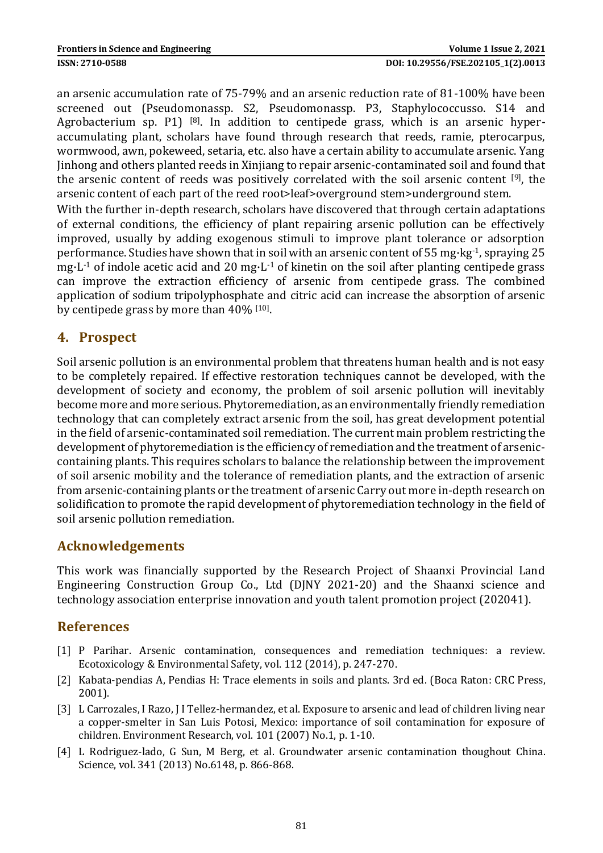an arsenic accumulation rate of 75-79% and an arsenic reduction rate of 81-100% have been screened out (Pseudomonassp. S2, Pseudomonassp. P3, Staphylococcusso. S14 and Agrobacterium sp. P1)  $[8]$ . In addition to centipede grass, which is an arsenic hyperaccumulating plant, scholars have found through research that reeds, ramie, pterocarpus, wormwood, awn, pokeweed, setaria, etc. also have a certain ability to accumulate arsenic. Yang Jinhong and others planted reeds in Xinjiang to repair arsenic-contaminated soil and found that the arsenic content of reeds was positively correlated with the soil arsenic content [9], the arsenic content of each part of the reed root>leaf>overground stem>underground stem. With the further in-depth research, scholars have discovered that through certain adaptations

of external conditions, the efficiency of plant repairing arsenic pollution can be effectively improved, usually by adding exogenous stimuli to improve plant tolerance or adsorption performance. Studies have shown that in soil with an arsenic content of 55 mg·kg-1, spraying 25 mg $\cdot$ L<sup>-1</sup> of indole acetic acid and 20 mg $\cdot$ L<sup>-1</sup> of kinetin on the soil after planting centipede grass can improve the extraction efficiency of arsenic from centipede grass. The combined application of sodium tripolyphosphate and citric acid can increase the absorption of arsenic by centipede grass by more than 40% [10].

# **4. Prospect**

Soil arsenic pollution is an environmental problem that threatens human health and is not easy to be completely repaired. If effective restoration techniques cannot be developed, with the development of society and economy, the problem of soil arsenic pollution will inevitably become more and more serious. Phytoremediation, as an environmentally friendly remediation technology that can completely extract arsenic from the soil, has great development potential in the field of arsenic-contaminated soil remediation. The current main problem restricting the development of phytoremediation is the efficiency of remediation and the treatment of arseniccontaining plants. This requires scholars to balance the relationship between the improvement of soil arsenic mobility and the tolerance of remediation plants, and the extraction of arsenic from arsenic-containing plants or the treatment of arsenic Carry out more in-depth research on solidification to promote the rapid development of phytoremediation technology in the field of soil arsenic pollution remediation.

## **Acknowledgements**

This work was financially supported by the Research Project of Shaanxi Provincial Land Engineering Construction Group Co., Ltd (DJNY 2021-20) and the Shaanxi science and technology association enterprise innovation and youth talent promotion project (202041).

## **References**

- [1] P Parihar. Arsenic contamination, consequences and remediation techniques: a review. Ecotoxicology & Environmental Safety, vol. 112 (2014), p. 247-270.
- [2] Kabata-pendias A, Pendias H: Trace elements in soils and plants. 3rd ed. (Boca Raton: CRC Press, 2001).
- [3] L Carrozales, I Razo, J I Tellez-hermandez, et al. Exposure to arsenic and lead of children living near a copper-smelter in San Luis Potosi, Mexico: importance of soil contamination for exposure of children. Environment Research, vol. 101 (2007) No.1, p. 1-10.
- [4] L Rodriguez-lado, G Sun, M Berg, et al. Groundwater arsenic contamination thoughout China. Science, vol. 341 (2013) No.6148, p. 866-868.